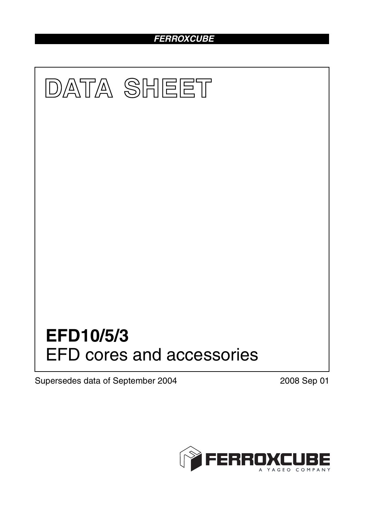# *FERROXCUBE*



Supersedes data of September 2004 2008 Sep 01

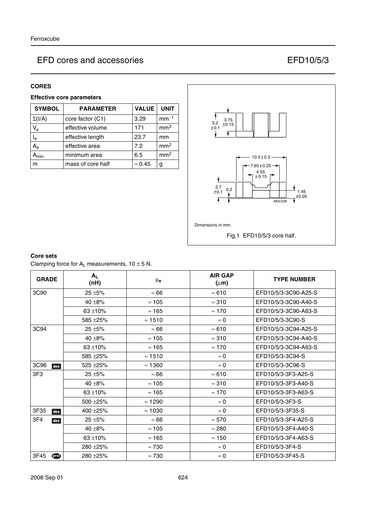### **CORES**

## **Effective core parameters**

| <b>SYMBOL</b>             | <b>PARAMETER</b>         | <b>UNIT</b>    |                 |
|---------------------------|--------------------------|----------------|-----------------|
| $\Sigma(I/A)$             | core factor (C1)         | 3.29           | $mm-1$          |
| $V_{e}$                   | effective volume         | 171            | mm <sup>3</sup> |
| $\mathsf{I}_{\mathsf{e}}$ | 23.7<br>effective length |                | mm              |
| $A_{\rm e}$               | 7.2<br>effective area    |                | mm <sup>2</sup> |
| $\mathbf{A}_{\text{min}}$ | minimum area<br>6.5      |                | mm <sup>2</sup> |
| m                         | mass of core half        | $\approx 0.45$ | g               |



### **Core sets**

Clamping force for  $A_L$  measurements,  $10 \pm 5$  N.

| <b>GRADE</b> | $A_L$<br>(nH) | $\mu_{\mathbf{e}}$ | <b>AIR GAP</b><br>$(\mu m)$ | <b>TYPE NUMBER</b>   |
|--------------|---------------|--------------------|-----------------------------|----------------------|
| 3C90         | $25 + 5%$     | $\approx 66$       | $\approx 610$               | EFD10/5/3-3C90-A25-S |
|              | 40 $\pm$ 8%   | $\approx$ 105      | $\approx$ 310               | EFD10/5/3-3C90-A40-S |
|              | $63 + 10%$    | $\approx$ 165      | $\approx 170$               | EFD10/5/3-3C90-A63-S |
|              | 585 ±25%      | $\approx$ 1510     | $\approx 0$                 | EFD10/5/3-3C90-S     |
| 3C94         | $25 + 5%$     | $\approx 66$       | $\approx 610$               | EFD10/5/3-3C94-A25-S |
|              | 40 $\pm$ 8%   | $\approx$ 105      | $\approx$ 310               | EFD10/5/3-3C94-A40-S |
|              | $63 + 10%$    | $\approx$ 165      | $\approx 170$               | EFD10/5/3-3C94-A63-S |
|              | 585 ±25%      | $\approx$ 1510     | $\approx$ 0                 | EFD10/5/3-3C94-S     |
| 3C96<br>des  | 525 ± 25%     | $\approx$ 1360     | $\approx$ 0                 | EFD10/5/3-3C96-S     |
| 3F3          | $25 + 5%$     | $\approx 66$       | $\approx 610$               | EFD10/5/3-3F3-A25-S  |
|              | 40 $\pm$ 8%   | $\approx$ 105      | $\approx 310$               | EFD10/5/3-3F3-A40-S  |
|              | $63 + 10%$    | $\approx$ 165      | $\approx 170$               | EFD10/5/3-3F3-A63-S  |
|              | 500 ±25%      | $\approx$ 1290     | $\approx 0$                 | EFD10/5/3-3F3-S      |
| 3F35<br>des  | 400 ±25%      | $\approx$ 1030     | $\approx$ 0                 | EFD10/5/3-3F35-S     |
| 3F4<br>des   | $25 + 5%$     | $\approx 66$       | $\approx 570$               | EFD10/5/3-3F4-A25-S  |
|              | 40 $\pm$ 8%   | $\approx 105$      | $\approx 280$               | EFD10/5/3-3F4-A40-S  |
|              | 63 ± 10%      | $\approx$ 165      | $\approx$ 150               | EFD10/5/3-3F4-A63-S  |
|              | 280 ± 25%     | $\approx 730$      | $\approx 0$                 | EFD10/5/3-3F4-S      |
| 3F45<br>டை   | 280 ± 25%     | $\approx 730$      | $\approx 0$                 | EFD10/5/3-3F45-S     |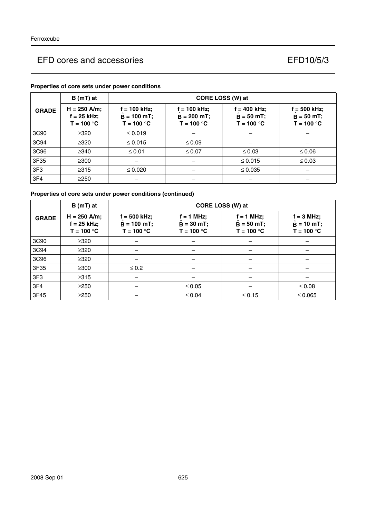|                 | $B(mT)$ at                                      | CORE LOSS (W) at                                |                                                 |                                               |                                                 |  |
|-----------------|-------------------------------------------------|-------------------------------------------------|-------------------------------------------------|-----------------------------------------------|-------------------------------------------------|--|
| <b>GRADE</b>    | $H = 250$ A/m;<br>$f = 25$ kHz;<br>$T = 100 °C$ | $f = 100$ kHz;<br>$B = 100$ mT;<br>$T = 100 °C$ | $f = 100$ kHz;<br>$B = 200$ mT;<br>$T = 100 °C$ | f = 400 kHz;<br>$B = 50 mT$ ;<br>$T = 100 °C$ | $f = 500$ kHz;<br>$B = 50 mT$ ;<br>$T = 100 °C$ |  |
| 3C90            | $\geq$ 320                                      | $\leq 0.019$                                    |                                                 |                                               |                                                 |  |
| 3C94            | $\geq 320$                                      | $\leq 0.015$                                    | $\leq 0.09$                                     |                                               |                                                 |  |
| 3C96            | $\geq$ 340                                      | $\leq 0.01$                                     | $\leq 0.07$                                     | $\leq 0.03$                                   | $\leq 0.06$                                     |  |
| 3F35            | $\geq$ 300                                      |                                                 |                                                 | $\leq 0.015$                                  | $\leq 0.03$                                     |  |
| 3F <sub>3</sub> | $\geq 315$                                      | $\leq 0.020$                                    |                                                 | $\leq 0.035$                                  |                                                 |  |
| 3F4             | $\geq$ 250                                      |                                                 |                                                 |                                               |                                                 |  |

## **Properties of core sets under power conditions**

## **Properties of core sets under power conditions (continued)**

|                 | $B(mT)$ at                                      | CORE LOSS (W) at                                |                                              |                                              |                                                     |  |
|-----------------|-------------------------------------------------|-------------------------------------------------|----------------------------------------------|----------------------------------------------|-----------------------------------------------------|--|
| <b>GRADE</b>    | $H = 250$ A/m;<br>$f = 25$ kHz;<br>$T = 100 °C$ | $f = 500$ kHz;<br>$B = 100$ mT;<br>$T = 100 °C$ | $f = 1$ MHz;<br>$B = 30 mT;$<br>$T = 100 °C$ | $f = 1$ MHz;<br>$B = 50 mT;$<br>$T = 100 °C$ | $f = 3 MHz;$<br>$\ddot{B}$ = 10 mT;<br>$T = 100 °C$ |  |
| 3C90            | $\geq 320$                                      |                                                 |                                              |                                              |                                                     |  |
| 3C94            | $\geq$ 320                                      |                                                 |                                              |                                              |                                                     |  |
| 3C96            | $\geq 320$                                      |                                                 |                                              |                                              |                                                     |  |
| 3F35            | $\geq$ 300                                      | $\leq 0.2$                                      |                                              |                                              |                                                     |  |
| 3F <sub>3</sub> | $\geq 315$                                      |                                                 |                                              |                                              |                                                     |  |
| 3F4             | $\geq$ 250                                      |                                                 | $\leq 0.05$                                  |                                              | $\leq 0.08$                                         |  |
| 3F45            | $\geq$ 250                                      |                                                 | $\leq 0.04$                                  | $≤ 0.15$                                     | $≤ 0.065$                                           |  |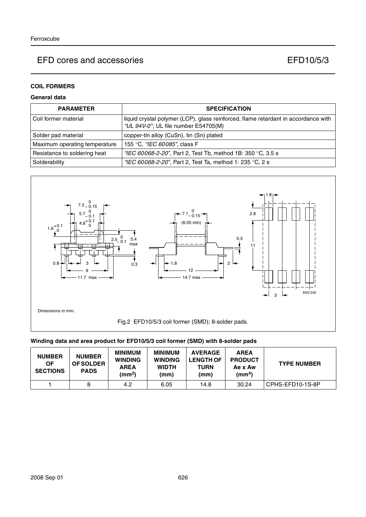## **COIL FORMERS**

## **General data**

| <b>PARAMETER</b>              | <b>SPECIFICATION</b>                                                                                                       |
|-------------------------------|----------------------------------------------------------------------------------------------------------------------------|
| l Coil former material        | liquid crystal polymer (LCP), glass reinforced, flame retardant in accordance with<br>"UL 94V-0"; UL file number E54705(M) |
| Solder pad material           | copper-tin alloy (CuSn), tin (Sn) plated                                                                                   |
| Maximum operating temperature | 155 °C, <i>"IEC 60085"</i> , class F                                                                                       |
| Resistance to soldering heat  | "IEC 60068-2-20", Part 2, Test Tb, method 1B: 350 °C, 3.5 s                                                                |
| Solderability                 | "IEC 60068-2-20", Part 2, Test Ta, method 1: 235 °C, 2 s                                                                   |



#### **Winding data and area product for EFD10/5/3 coil former (SMD) with 8-solder pads**

| <b>NUMBER</b><br>ΟF<br><b>SECTIONS</b> | <b>NUMBER</b><br><b>OF SOLDER</b><br><b>PADS</b> | <b>MINIMUM</b><br><b>WINDING</b><br><b>AREA</b><br>(mm <sup>2</sup> ) | <b>MINIMUM</b><br><b>WINDING</b><br><b>WIDTH</b><br>(mm) | <b>AVERAGE</b><br><b>LENGTH OF</b><br>TURN<br>(mm) | <b>AREA</b><br><b>PRODUCT</b><br>Ae x Aw<br>$\textsf{(mm}^4)$ | <b>TYPE NUMBER</b> |
|----------------------------------------|--------------------------------------------------|-----------------------------------------------------------------------|----------------------------------------------------------|----------------------------------------------------|---------------------------------------------------------------|--------------------|
|                                        |                                                  | 4.2                                                                   | 6.05                                                     | 14.8                                               | 30.24                                                         | CPHS-EFD10-1S-8P   |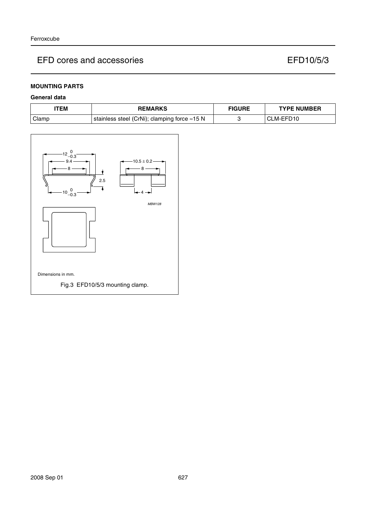### **MOUNTING PARTS**

### **General data**

| ITEM    | <b>REMARKS</b>                               | <b>FIGURE</b> | <b>TYPE NUMBER</b> |
|---------|----------------------------------------------|---------------|--------------------|
| l Clamp | stainless steel (CrNi); clamping force ≈15 N |               | CLM-EFD10          |